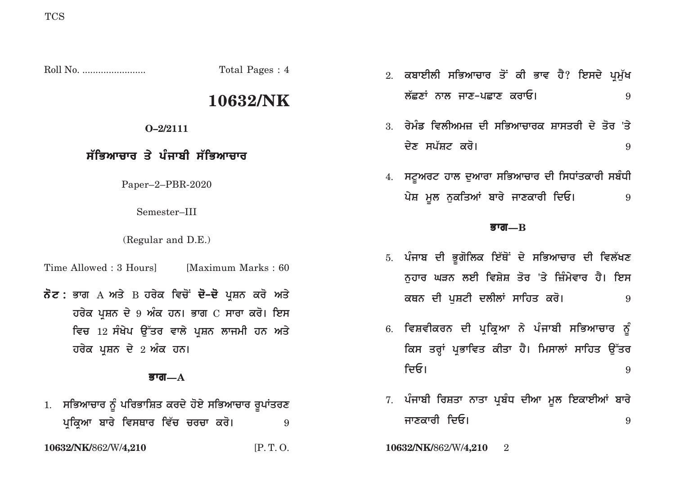Roll No. ........................ Total Pages : 4

# **10632/NK**

### **O–2/2111**

### <u>ਸੱਭਿਆਚਾਰ ਤੇ ਪੰਜਾਬੀ ਸੱਭਿਆਚਾਰ</u>

Paper–2–PBR-2020

Semester–III

(Regular and D.E.)

Time Allowed : 3 Hours [Maximum Marks : 60]

# **ਨੋਟ :** ਭਾਗ А ਅਤੇ В ਹਰੇਕ ਵਿਚੋਂ **ਦੋ–ਦੋ** ਪਸ਼ਨ ਕਰੋ ਅਤੇ **ਹਰੇਕ ਪਸ਼ਨ ਦੇ 9 ਅੰਕ ਹਨ। ਭਾਗ C ਸਾਰਾ ਕਰੋ। ਇਸ** <u>ਵਿਚ 12 ਸੰਖੇਪ ਉੱਤਰ ਵਾਲੇ ਪੁਸ਼ਨ ਲਾਜਮੀ ਹਨ ਅਤੇ</u> **ਹਰੇਕ ਪਸ਼ਨ ਦੇ 2 ਅੰਕ ਹਨ।**

### **Bwg—A**

1. **ਸਭਿਆਚਾਰ ਨੂੰ ਪਰਿਭਾਸ਼ਿਤ ਕਰਦੇ ਹੋਏ ਸਭਿਆਚਾਰ** ਰੁਪਾਂਤਰਣ **pRikRAw bwry ivsQwr iv`c crcw kro[** <sup>9</sup>

- 2. ਕਬਾਈਲੀ ਸਭਿਆਚਾਰ ਤੋਂ ਕੀ ਭਾਵ ਹੈ? ਇਸਦੇ ਪਮੱਖ **l`CxW nwl jwx-pCwx krwE[** <sup>9</sup>
- 3. ਰੇਮੰਡ ਵਿਲੀਅਮਜ਼ ਦੀ ਸਭਿਆਚਾਰਕ ਸ਼ਾਸਤਰੀ ਦੇ ਤੋਰ 'ਤੇ **dyx sp`St kro[** <sup>9</sup>
- 4. **ਸਟੂਅਰਟ ਹਾਲ ਦੁਆਰਾ ਸਭਿਆਚਾਰ ਦੀ ਸਿਧਾਂਤਕਾਰੀ ਸ**ਬੰਧੀ **pyS mUl nukiqAW bwry jwxkwrI idE[** <sup>9</sup>

### **Bwg—B**

- 5. ਪੰਜਾਬ ਦੀ ਭੂਗੋਲਿਕ ਇੱਥੋਂ ਦੇ ਸਭਿਆਚਾਰ ਦੀ ਵਿਲੱਖਣ ਨਹਾਰ ਘੜਨ ਲਈ ਵਿਸ਼ੇਸ਼ ਤੋਰ 'ਤੇ ਜ਼ਿੰਮੇਵਾਰ ਹੈ। **ਇਸ kQn dI puStI dlIlW swihq kro[** <sup>9</sup>
- 6. ਵਿਸ਼ਵੀਕਰਨ ਦੀ ਪਕਿਆ ਨੇ ਪੰਜਾਬੀ ਸਭਿਆਚਾਰ <u>ਨੂੰ</u> ਕਿਸ ਤਰ੍ਹਾਂ ਪਭਾਵਿਤ ਕੀਤਾ ਹੈ। ਮਿਸਾਲਾਂ ਸਾਹਿਤ ਉੱ**ਤ**ਰ **idE[** <sup>9</sup>
- 7. ਪੰਜਾਬੀ ਰਿਸ਼ਤਾ ਨਾਤਾ ਪ੍ਰਬੰਧ ਦੀਆ ਮੁਲ **ਇਕਾਈਆਂ ਬਾ**ਰੇ **jwxkwrI idE[** <sup>9</sup>

**10632/NK/**862/W/**4,210** [P. T. O. **10632/NK/**862/W/**4,210** 2